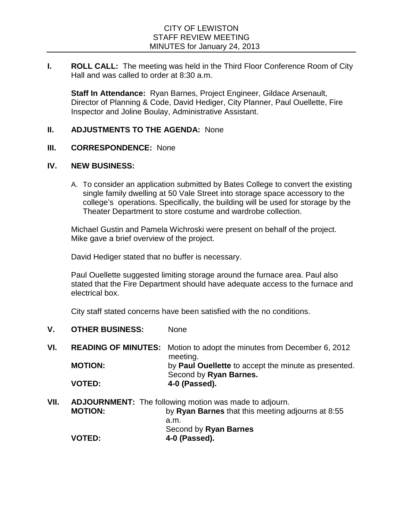**I. ROLL CALL:** The meeting was held in the Third Floor Conference Room of City Hall and was called to order at 8:30 a.m.

**Staff In Attendance:** Ryan Barnes, Project Engineer, Gildace Arsenault, Director of Planning & Code, David Hediger, City Planner, Paul Ouellette, Fire Inspector and Joline Boulay, Administrative Assistant.

## **II. ADJUSTMENTS TO THE AGENDA:** None

## **III. CORRESPONDENCE:** None

## **IV. NEW BUSINESS:**

A. To consider an application submitted by Bates College to convert the existing single family dwelling at 50 Vale Street into storage space accessory to the college's operations. Specifically, the building will be used for storage by the Theater Department to store costume and wardrobe collection.

Michael Gustin and Pamela Wichroski were present on behalf of the project. Mike gave a brief overview of the project.

David Hediger stated that no buffer is necessary.

Paul Ouellette suggested limiting storage around the furnace area. Paul also stated that the Fire Department should have adequate access to the furnace and electrical box.

City staff stated concerns have been satisfied with the no conditions.

- **V. OTHER BUSINESS:** None
- **VI. READING OF MINUTES:** Motion to adopt the minutes from December 6, 2012 meeting. **MOTION:** by **Paul Ouellette** to accept the minute as presented. Second by **Ryan Barnes. VOTED: 4-0 (Passed).**
- **VII. ADJOURNMENT:** The following motion was made to adjourn. **MOTION:** by **Ryan Barnes** that this meeting adjourns at 8:55 a.m. Second by **Ryan Barnes VOTED: 4-0 (Passed).**